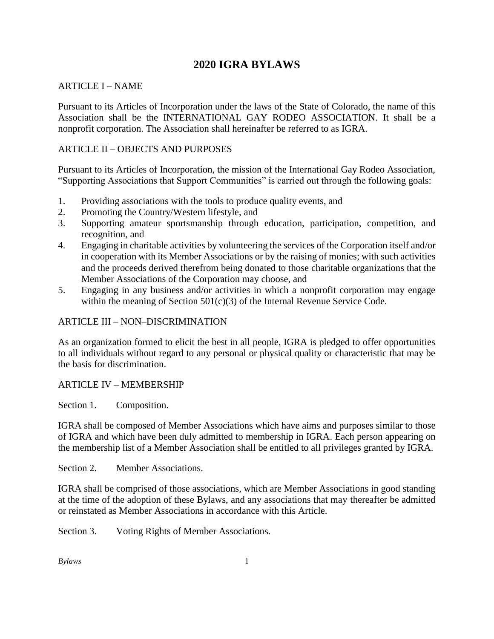# **2020 IGRA BYLAWS**

## ARTICLE I – NAME

Pursuant to its Articles of Incorporation under the laws of the State of Colorado, the name of this Association shall be the INTERNATIONAL GAY RODEO ASSOCIATION. It shall be a nonprofit corporation. The Association shall hereinafter be referred to as IGRA.

## ARTICLE II – OBJECTS AND PURPOSES

Pursuant to its Articles of Incorporation, the mission of the International Gay Rodeo Association, "Supporting Associations that Support Communities" is carried out through the following goals:

- 1. Providing associations with the tools to produce quality events, and
- 2. Promoting the Country/Western lifestyle, and
- 3. Supporting amateur sportsmanship through education, participation, competition, and recognition, and
- 4. Engaging in charitable activities by volunteering the services of the Corporation itself and/or in cooperation with its Member Associations or by the raising of monies; with such activities and the proceeds derived therefrom being donated to those charitable organizations that the Member Associations of the Corporation may choose, and
- 5. Engaging in any business and/or activities in which a nonprofit corporation may engage within the meaning of Section 501(c)(3) of the Internal Revenue Service Code.

#### ARTICLE III – NON–DISCRIMINATION

As an organization formed to elicit the best in all people, IGRA is pledged to offer opportunities to all individuals without regard to any personal or physical quality or characteristic that may be the basis for discrimination.

#### ARTICLE IV – MEMBERSHIP

Section 1. Composition.

IGRA shall be composed of Member Associations which have aims and purposes similar to those of IGRA and which have been duly admitted to membership in IGRA. Each person appearing on the membership list of a Member Association shall be entitled to all privileges granted by IGRA.

Section 2. Member Associations.

IGRA shall be comprised of those associations, which are Member Associations in good standing at the time of the adoption of these Bylaws, and any associations that may thereafter be admitted or reinstated as Member Associations in accordance with this Article.

Section 3. Voting Rights of Member Associations.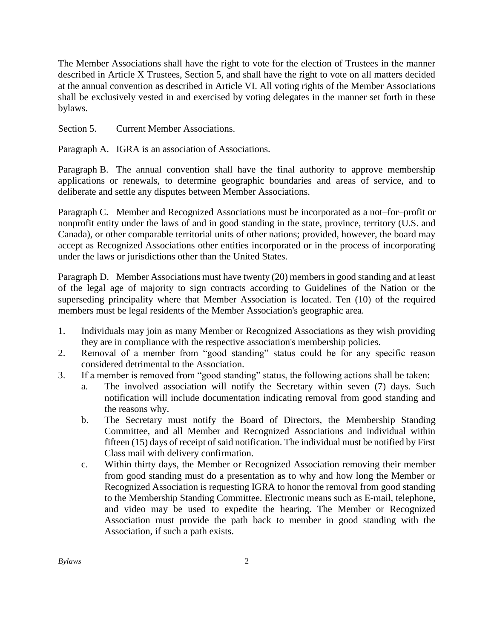The Member Associations shall have the right to vote for the election of Trustees in the manner described in Article X Trustees, Section 5, and shall have the right to vote on all matters decided at the annual convention as described in Article VI. All voting rights of the Member Associations shall be exclusively vested in and exercised by voting delegates in the manner set forth in these bylaws.

Section 5. Current Member Associations.

Paragraph A. IGRA is an association of Associations.

Paragraph B. The annual convention shall have the final authority to approve membership applications or renewals, to determine geographic boundaries and areas of service, and to deliberate and settle any disputes between Member Associations.

Paragraph C. Member and Recognized Associations must be incorporated as a not–for–profit or nonprofit entity under the laws of and in good standing in the state, province, territory (U.S. and Canada), or other comparable territorial units of other nations; provided, however, the board may accept as Recognized Associations other entities incorporated or in the process of incorporating under the laws or jurisdictions other than the United States.

Paragraph D. Member Associations must have twenty (20) members in good standing and at least of the legal age of majority to sign contracts according to Guidelines of the Nation or the superseding principality where that Member Association is located. Ten (10) of the required members must be legal residents of the Member Association's geographic area.

- 1. Individuals may join as many Member or Recognized Associations as they wish providing they are in compliance with the respective association's membership policies.
- 2. Removal of a member from "good standing" status could be for any specific reason considered detrimental to the Association.
- 3. If a member is removed from "good standing" status, the following actions shall be taken:
	- a. The involved association will notify the Secretary within seven (7) days. Such notification will include documentation indicating removal from good standing and the reasons why.
	- b. The Secretary must notify the Board of Directors, the Membership Standing Committee, and all Member and Recognized Associations and individual within fifteen (15) days of receipt of said notification. The individual must be notified by First Class mail with delivery confirmation.
	- c. Within thirty days, the Member or Recognized Association removing their member from good standing must do a presentation as to why and how long the Member or Recognized Association is requesting IGRA to honor the removal from good standing to the Membership Standing Committee. Electronic means such as E-mail, telephone, and video may be used to expedite the hearing. The Member or Recognized Association must provide the path back to member in good standing with the Association, if such a path exists.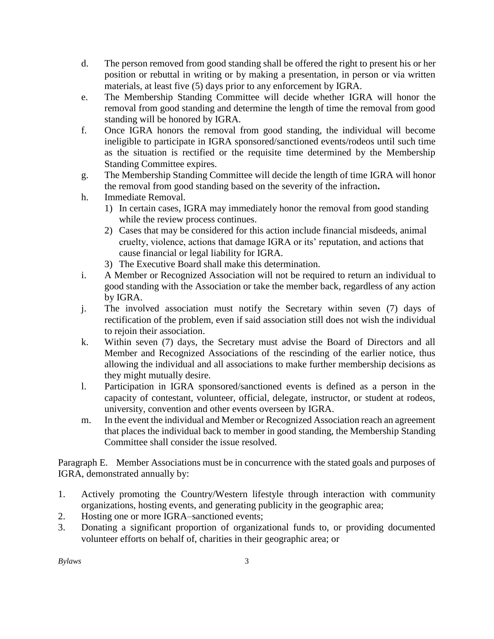- d. The person removed from good standing shall be offered the right to present his or her position or rebuttal in writing or by making a presentation, in person or via written materials, at least five (5) days prior to any enforcement by IGRA.
- e. The Membership Standing Committee will decide whether IGRA will honor the removal from good standing and determine the length of time the removal from good standing will be honored by IGRA.
- f. Once IGRA honors the removal from good standing, the individual will become ineligible to participate in IGRA sponsored/sanctioned events/rodeos until such time as the situation is rectified or the requisite time determined by the Membership Standing Committee expires.
- g. The Membership Standing Committee will decide the length of time IGRA will honor the removal from good standing based on the severity of the infraction**.**
- h. Immediate Removal.
	- 1) In certain cases, IGRA may immediately honor the removal from good standing while the review process continues.
	- 2) Cases that may be considered for this action include financial misdeeds, animal cruelty, violence, actions that damage IGRA or its' reputation, and actions that cause financial or legal liability for IGRA.
	- 3) The Executive Board shall make this determination.
- i. A Member or Recognized Association will not be required to return an individual to good standing with the Association or take the member back, regardless of any action by IGRA.
- j. The involved association must notify the Secretary within seven (7) days of rectification of the problem, even if said association still does not wish the individual to rejoin their association.
- k. Within seven (7) days, the Secretary must advise the Board of Directors and all Member and Recognized Associations of the rescinding of the earlier notice, thus allowing the individual and all associations to make further membership decisions as they might mutually desire.
- l. Participation in IGRA sponsored/sanctioned events is defined as a person in the capacity of contestant, volunteer, official, delegate, instructor, or student at rodeos, university, convention and other events overseen by IGRA.
- m. In the event the individual and Member or Recognized Association reach an agreement that places the individual back to member in good standing, the Membership Standing Committee shall consider the issue resolved.

Paragraph E. Member Associations must be in concurrence with the stated goals and purposes of IGRA, demonstrated annually by:

- 1. Actively promoting the Country/Western lifestyle through interaction with community organizations, hosting events, and generating publicity in the geographic area;
- 2. Hosting one or more IGRA–sanctioned events;
- 3. Donating a significant proportion of organizational funds to, or providing documented volunteer efforts on behalf of, charities in their geographic area; or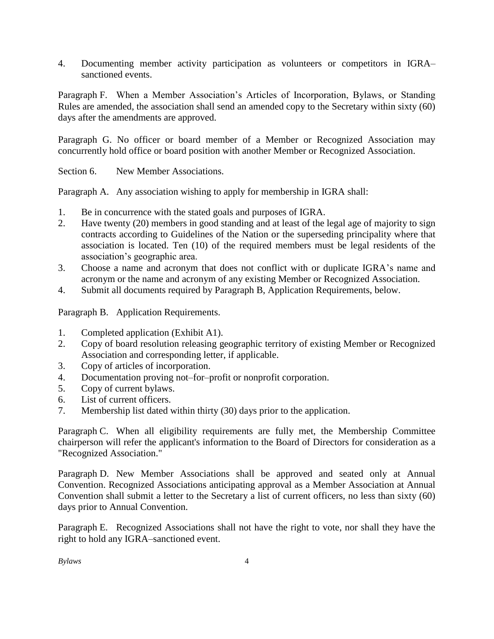4. Documenting member activity participation as volunteers or competitors in IGRA– sanctioned events.

Paragraph F. When a Member Association's Articles of Incorporation, Bylaws, or Standing Rules are amended, the association shall send an amended copy to the Secretary within sixty (60) days after the amendments are approved.

Paragraph G. No officer or board member of a Member or Recognized Association may concurrently hold office or board position with another Member or Recognized Association.

Section 6. New Member Associations.

Paragraph A. Any association wishing to apply for membership in IGRA shall:

- 1. Be in concurrence with the stated goals and purposes of IGRA.
- 2. Have twenty (20) members in good standing and at least of the legal age of majority to sign contracts according to Guidelines of the Nation or the superseding principality where that association is located. Ten (10) of the required members must be legal residents of the association's geographic area.
- 3. Choose a name and acronym that does not conflict with or duplicate IGRA's name and acronym or the name and acronym of any existing Member or Recognized Association.
- 4. Submit all documents required by Paragraph B, Application Requirements, below.

Paragraph B. Application Requirements.

- 1. Completed application (Exhibit A1).
- 2. Copy of board resolution releasing geographic territory of existing Member or Recognized Association and corresponding letter, if applicable.
- 3. Copy of articles of incorporation.
- 4. Documentation proving not–for–profit or nonprofit corporation.
- 5. Copy of current bylaws.
- 6. List of current officers.
- 7. Membership list dated within thirty (30) days prior to the application.

Paragraph C. When all eligibility requirements are fully met, the Membership Committee chairperson will refer the applicant's information to the Board of Directors for consideration as a "Recognized Association."

Paragraph D. New Member Associations shall be approved and seated only at Annual Convention. Recognized Associations anticipating approval as a Member Association at Annual Convention shall submit a letter to the Secretary a list of current officers, no less than sixty (60) days prior to Annual Convention.

Paragraph E. Recognized Associations shall not have the right to vote, nor shall they have the right to hold any IGRA–sanctioned event.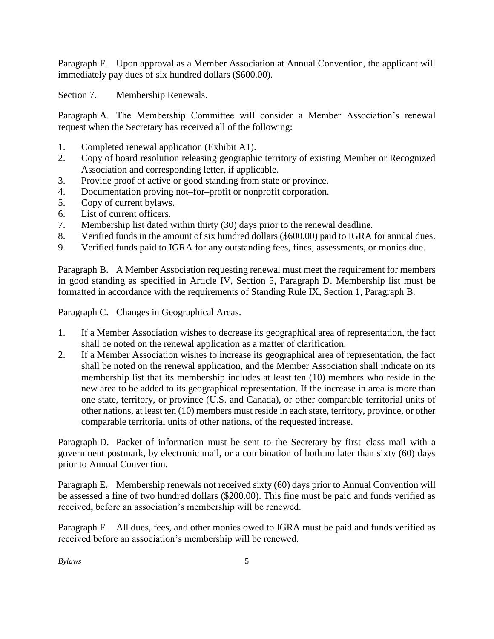Paragraph F. Upon approval as a Member Association at Annual Convention, the applicant will immediately pay dues of six hundred dollars (\$600.00).

Section 7. Membership Renewals.

Paragraph A. The Membership Committee will consider a Member Association's renewal request when the Secretary has received all of the following:

- 1. Completed renewal application (Exhibit A1).
- 2. Copy of board resolution releasing geographic territory of existing Member or Recognized Association and corresponding letter, if applicable.
- 3. Provide proof of active or good standing from state or province.
- 4. Documentation proving not–for–profit or nonprofit corporation.
- 5. Copy of current bylaws.
- 6. List of current officers.
- 7. Membership list dated within thirty (30) days prior to the renewal deadline.
- 8. Verified funds in the amount of six hundred dollars (\$600.00) paid to IGRA for annual dues.
- 9. Verified funds paid to IGRA for any outstanding fees, fines, assessments, or monies due.

Paragraph B. A Member Association requesting renewal must meet the requirement for members in good standing as specified in Article IV, Section 5, Paragraph D. Membership list must be formatted in accordance with the requirements of Standing Rule IX, Section 1, Paragraph B.

Paragraph C. Changes in Geographical Areas.

- 1. If a Member Association wishes to decrease its geographical area of representation, the fact shall be noted on the renewal application as a matter of clarification.
- 2. If a Member Association wishes to increase its geographical area of representation, the fact shall be noted on the renewal application, and the Member Association shall indicate on its membership list that its membership includes at least ten (10) members who reside in the new area to be added to its geographical representation. If the increase in area is more than one state, territory, or province (U.S. and Canada), or other comparable territorial units of other nations, at least ten (10) members must reside in each state, territory, province, or other comparable territorial units of other nations, of the requested increase.

Paragraph D. Packet of information must be sent to the Secretary by first–class mail with a government postmark, by electronic mail, or a combination of both no later than sixty (60) days prior to Annual Convention.

Paragraph E. Membership renewals not received sixty (60) days prior to Annual Convention will be assessed a fine of two hundred dollars (\$200.00). This fine must be paid and funds verified as received, before an association's membership will be renewed.

Paragraph F. All dues, fees, and other monies owed to IGRA must be paid and funds verified as received before an association's membership will be renewed.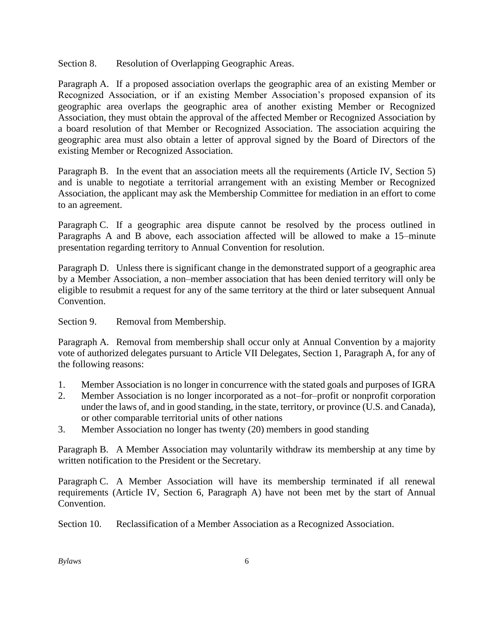Section 8. Resolution of Overlapping Geographic Areas.

Paragraph A. If a proposed association overlaps the geographic area of an existing Member or Recognized Association, or if an existing Member Association's proposed expansion of its geographic area overlaps the geographic area of another existing Member or Recognized Association, they must obtain the approval of the affected Member or Recognized Association by a board resolution of that Member or Recognized Association. The association acquiring the geographic area must also obtain a letter of approval signed by the Board of Directors of the existing Member or Recognized Association.

Paragraph B. In the event that an association meets all the requirements (Article IV, Section 5) and is unable to negotiate a territorial arrangement with an existing Member or Recognized Association, the applicant may ask the Membership Committee for mediation in an effort to come to an agreement.

Paragraph C. If a geographic area dispute cannot be resolved by the process outlined in Paragraphs A and B above, each association affected will be allowed to make a 15–minute presentation regarding territory to Annual Convention for resolution.

Paragraph D. Unless there is significant change in the demonstrated support of a geographic area by a Member Association, a non–member association that has been denied territory will only be eligible to resubmit a request for any of the same territory at the third or later subsequent Annual Convention.

Section 9. Removal from Membership.

Paragraph A. Removal from membership shall occur only at Annual Convention by a majority vote of authorized delegates pursuant to Article VII Delegates, Section 1, Paragraph A, for any of the following reasons:

- 1. Member Association is no longer in concurrence with the stated goals and purposes of IGRA
- 2. Member Association is no longer incorporated as a not–for–profit or nonprofit corporation under the laws of, and in good standing, in the state, territory, or province (U.S. and Canada), or other comparable territorial units of other nations
- 3. Member Association no longer has twenty (20) members in good standing

Paragraph B. A Member Association may voluntarily withdraw its membership at any time by written notification to the President or the Secretary.

Paragraph C. A Member Association will have its membership terminated if all renewal requirements (Article IV, Section 6, Paragraph A) have not been met by the start of Annual Convention.

Section 10. Reclassification of a Member Association as a Recognized Association.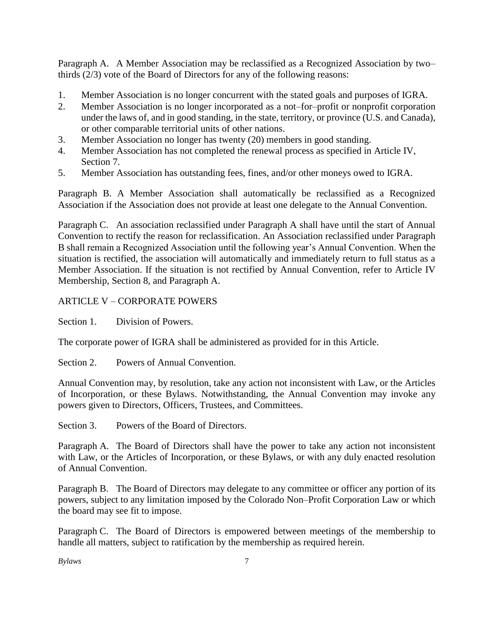Paragraph A. A Member Association may be reclassified as a Recognized Association by two– thirds (2/3) vote of the Board of Directors for any of the following reasons:

- 1. Member Association is no longer concurrent with the stated goals and purposes of IGRA.
- 2. Member Association is no longer incorporated as a not–for–profit or nonprofit corporation under the laws of, and in good standing, in the state, territory, or province (U.S. and Canada), or other comparable territorial units of other nations.
- 3. Member Association no longer has twenty (20) members in good standing.
- 4. Member Association has not completed the renewal process as specified in Article IV, Section 7.
- 5. Member Association has outstanding fees, fines, and/or other moneys owed to IGRA.

Paragraph B. A Member Association shall automatically be reclassified as a Recognized Association if the Association does not provide at least one delegate to the Annual Convention.

Paragraph C. An association reclassified under Paragraph A shall have until the start of Annual Convention to rectify the reason for reclassification. An Association reclassified under Paragraph B shall remain a Recognized Association until the following year's Annual Convention. When the situation is rectified, the association will automatically and immediately return to full status as a Member Association. If the situation is not rectified by Annual Convention, refer to Article IV Membership, Section 8, and Paragraph A.

## ARTICLE V – CORPORATE POWERS

Section 1. Division of Powers.

The corporate power of IGRA shall be administered as provided for in this Article.

Section 2. Powers of Annual Convention.

Annual Convention may, by resolution, take any action not inconsistent with Law, or the Articles of Incorporation, or these Bylaws. Notwithstanding, the Annual Convention may invoke any powers given to Directors, Officers, Trustees, and Committees.

Section 3. Powers of the Board of Directors.

Paragraph A. The Board of Directors shall have the power to take any action not inconsistent with Law, or the Articles of Incorporation, or these Bylaws, or with any duly enacted resolution of Annual Convention.

Paragraph B. The Board of Directors may delegate to any committee or officer any portion of its powers, subject to any limitation imposed by the Colorado Non–Profit Corporation Law or which the board may see fit to impose.

Paragraph C. The Board of Directors is empowered between meetings of the membership to handle all matters, subject to ratification by the membership as required herein.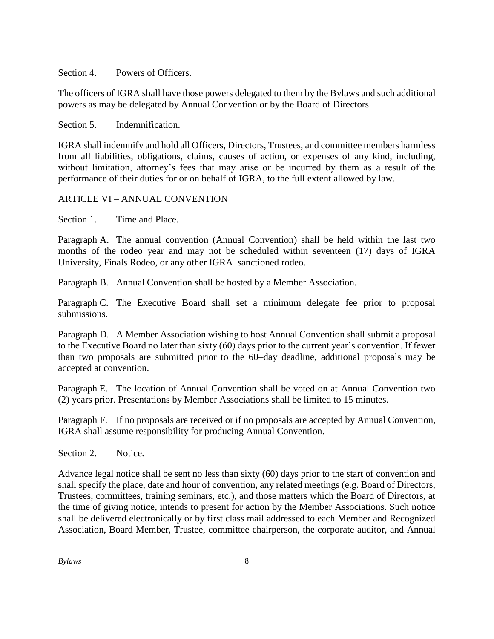Section 4 Powers of Officers.

The officers of IGRA shall have those powers delegated to them by the Bylaws and such additional powers as may be delegated by Annual Convention or by the Board of Directors.

Section 5. Indemnification.

IGRA shall indemnify and hold all Officers, Directors, Trustees, and committee members harmless from all liabilities, obligations, claims, causes of action, or expenses of any kind, including, without limitation, attorney's fees that may arise or be incurred by them as a result of the performance of their duties for or on behalf of IGRA, to the full extent allowed by law.

#### ARTICLE VI – ANNUAL CONVENTION

Section 1. Time and Place.

Paragraph A. The annual convention (Annual Convention) shall be held within the last two months of the rodeo year and may not be scheduled within seventeen (17) days of IGRA University, Finals Rodeo, or any other IGRA–sanctioned rodeo.

Paragraph B. Annual Convention shall be hosted by a Member Association.

Paragraph C. The Executive Board shall set a minimum delegate fee prior to proposal submissions.

Paragraph D. A Member Association wishing to host Annual Convention shall submit a proposal to the Executive Board no later than sixty (60) days prior to the current year's convention. If fewer than two proposals are submitted prior to the 60–day deadline, additional proposals may be accepted at convention.

Paragraph E. The location of Annual Convention shall be voted on at Annual Convention two (2) years prior. Presentations by Member Associations shall be limited to 15 minutes.

Paragraph F. If no proposals are received or if no proposals are accepted by Annual Convention, IGRA shall assume responsibility for producing Annual Convention.

Section 2. Notice.

Advance legal notice shall be sent no less than sixty (60) days prior to the start of convention and shall specify the place, date and hour of convention, any related meetings (e.g. Board of Directors, Trustees, committees, training seminars, etc.), and those matters which the Board of Directors, at the time of giving notice, intends to present for action by the Member Associations. Such notice shall be delivered electronically or by first class mail addressed to each Member and Recognized Association, Board Member, Trustee, committee chairperson, the corporate auditor, and Annual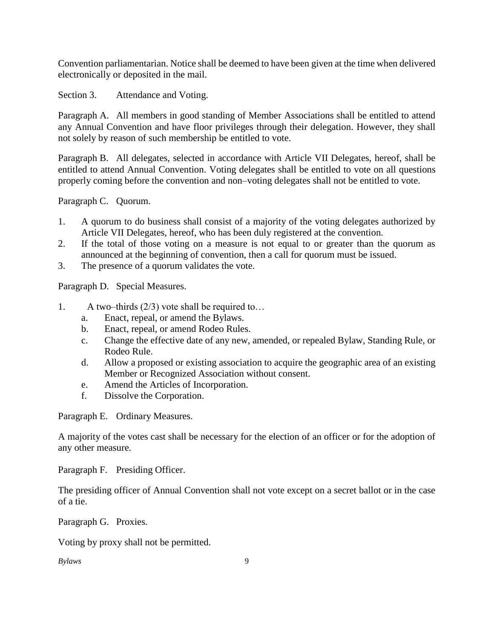Convention parliamentarian. Notice shall be deemed to have been given at the time when delivered electronically or deposited in the mail.

Section 3. Attendance and Voting.

Paragraph A. All members in good standing of Member Associations shall be entitled to attend any Annual Convention and have floor privileges through their delegation. However, they shall not solely by reason of such membership be entitled to vote.

Paragraph B. All delegates, selected in accordance with Article VII Delegates, hereof, shall be entitled to attend Annual Convention. Voting delegates shall be entitled to vote on all questions properly coming before the convention and non–voting delegates shall not be entitled to vote.

Paragraph C. Quorum.

- 1. A quorum to do business shall consist of a majority of the voting delegates authorized by Article VII Delegates, hereof, who has been duly registered at the convention.
- 2. If the total of those voting on a measure is not equal to or greater than the quorum as announced at the beginning of convention, then a call for quorum must be issued.
- 3. The presence of a quorum validates the vote.

Paragraph D. Special Measures.

- 1. A two–thirds (2/3) vote shall be required to…
	- a. Enact, repeal, or amend the Bylaws.
	- b. Enact, repeal, or amend Rodeo Rules.
	- c. Change the effective date of any new, amended, or repealed Bylaw, Standing Rule, or Rodeo Rule.
	- d. Allow a proposed or existing association to acquire the geographic area of an existing Member or Recognized Association without consent.
	- e. Amend the Articles of Incorporation.
	- f. Dissolve the Corporation.

Paragraph E. Ordinary Measures.

A majority of the votes cast shall be necessary for the election of an officer or for the adoption of any other measure.

Paragraph F. Presiding Officer.

The presiding officer of Annual Convention shall not vote except on a secret ballot or in the case of a tie.

Paragraph G. Proxies.

Voting by proxy shall not be permitted.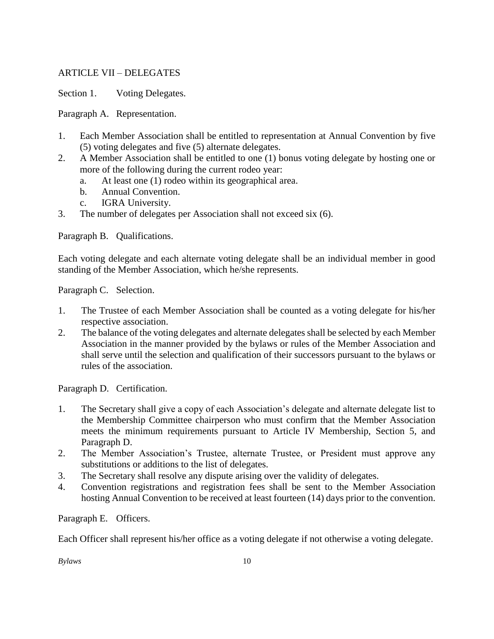## ARTICLE VII – DELEGATES

Section 1. Voting Delegates.

Paragraph A. Representation.

- 1. Each Member Association shall be entitled to representation at Annual Convention by five (5) voting delegates and five (5) alternate delegates.
- 2. A Member Association shall be entitled to one (1) bonus voting delegate by hosting one or more of the following during the current rodeo year:
	- a. At least one (1) rodeo within its geographical area.
	- b. Annual Convention.
	- c. IGRA University.
- 3. The number of delegates per Association shall not exceed six (6).

Paragraph B. Qualifications.

Each voting delegate and each alternate voting delegate shall be an individual member in good standing of the Member Association, which he/she represents.

Paragraph C. Selection.

- 1. The Trustee of each Member Association shall be counted as a voting delegate for his/her respective association.
- 2. The balance of the voting delegates and alternate delegates shall be selected by each Member Association in the manner provided by the bylaws or rules of the Member Association and shall serve until the selection and qualification of their successors pursuant to the bylaws or rules of the association.

Paragraph D. Certification.

- 1. The Secretary shall give a copy of each Association's delegate and alternate delegate list to the Membership Committee chairperson who must confirm that the Member Association meets the minimum requirements pursuant to Article IV Membership, Section 5, and Paragraph D.
- 2. The Member Association's Trustee, alternate Trustee, or President must approve any substitutions or additions to the list of delegates.
- 3. The Secretary shall resolve any dispute arising over the validity of delegates.
- 4. Convention registrations and registration fees shall be sent to the Member Association hosting Annual Convention to be received at least fourteen (14) days prior to the convention.

Paragraph E. Officers.

Each Officer shall represent his/her office as a voting delegate if not otherwise a voting delegate.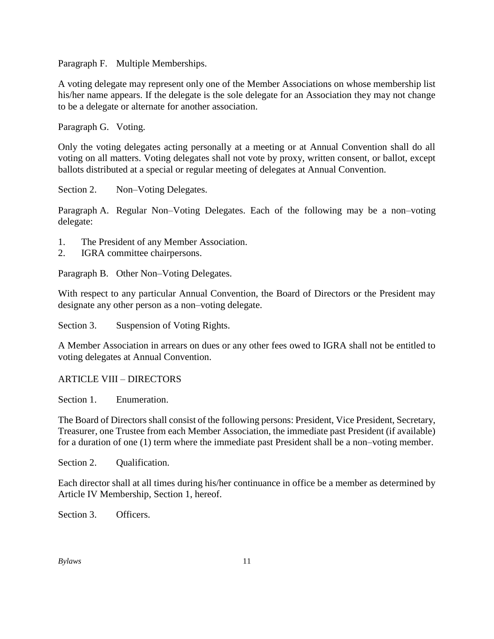Paragraph F. Multiple Memberships.

A voting delegate may represent only one of the Member Associations on whose membership list his/her name appears. If the delegate is the sole delegate for an Association they may not change to be a delegate or alternate for another association.

Paragraph G. Voting.

Only the voting delegates acting personally at a meeting or at Annual Convention shall do all voting on all matters. Voting delegates shall not vote by proxy, written consent, or ballot, except ballots distributed at a special or regular meeting of delegates at Annual Convention.

Section 2. Non–Voting Delegates.

Paragraph A. Regular Non–Voting Delegates. Each of the following may be a non–voting delegate:

- 1. The President of any Member Association.
- 2. IGRA committee chairpersons.

Paragraph B. Other Non–Voting Delegates.

With respect to any particular Annual Convention, the Board of Directors or the President may designate any other person as a non–voting delegate.

Section 3. Suspension of Voting Rights.

A Member Association in arrears on dues or any other fees owed to IGRA shall not be entitled to voting delegates at Annual Convention.

#### ARTICLE VIII – DIRECTORS

Section 1. Enumeration.

The Board of Directors shall consist of the following persons: President, Vice President, Secretary, Treasurer, one Trustee from each Member Association, the immediate past President (if available) for a duration of one (1) term where the immediate past President shall be a non–voting member.

Section 2. Oualification.

Each director shall at all times during his/her continuance in office be a member as determined by Article IV Membership, Section 1, hereof.

Section 3. Officers.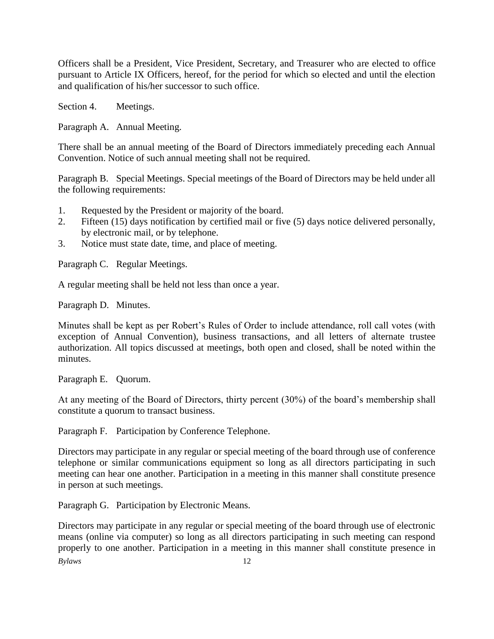Officers shall be a President, Vice President, Secretary, and Treasurer who are elected to office pursuant to Article IX Officers, hereof, for the period for which so elected and until the election and qualification of his/her successor to such office.

Section 4. Meetings.

Paragraph A. Annual Meeting.

There shall be an annual meeting of the Board of Directors immediately preceding each Annual Convention. Notice of such annual meeting shall not be required.

Paragraph B. Special Meetings. Special meetings of the Board of Directors may be held under all the following requirements:

- 1. Requested by the President or majority of the board.
- 2. Fifteen (15) days notification by certified mail or five (5) days notice delivered personally, by electronic mail, or by telephone.
- 3. Notice must state date, time, and place of meeting.

Paragraph C. Regular Meetings.

A regular meeting shall be held not less than once a year.

Paragraph D. Minutes.

Minutes shall be kept as per Robert's Rules of Order to include attendance, roll call votes (with exception of Annual Convention), business transactions, and all letters of alternate trustee authorization. All topics discussed at meetings, both open and closed, shall be noted within the minutes.

Paragraph E. Quorum.

At any meeting of the Board of Directors, thirty percent (30%) of the board's membership shall constitute a quorum to transact business.

Paragraph F. Participation by Conference Telephone.

Directors may participate in any regular or special meeting of the board through use of conference telephone or similar communications equipment so long as all directors participating in such meeting can hear one another. Participation in a meeting in this manner shall constitute presence in person at such meetings.

Paragraph G. Participation by Electronic Means.

*Bylaws* 12 Directors may participate in any regular or special meeting of the board through use of electronic means (online via computer) so long as all directors participating in such meeting can respond properly to one another. Participation in a meeting in this manner shall constitute presence in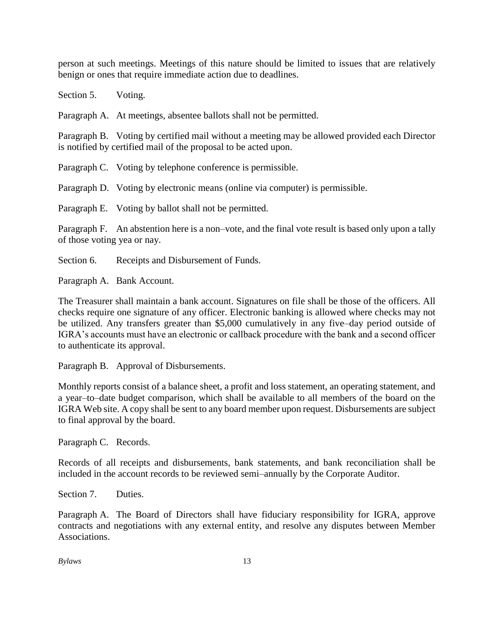person at such meetings. Meetings of this nature should be limited to issues that are relatively benign or ones that require immediate action due to deadlines.

Section 5. Voting.

Paragraph A. At meetings, absentee ballots shall not be permitted.

Paragraph B. Voting by certified mail without a meeting may be allowed provided each Director is notified by certified mail of the proposal to be acted upon.

Paragraph C. Voting by telephone conference is permissible.

Paragraph D. Voting by electronic means (online via computer) is permissible.

Paragraph E. Voting by ballot shall not be permitted.

Paragraph F. An abstention here is a non–vote, and the final vote result is based only upon a tally of those voting yea or nay.

Section 6. Receipts and Disbursement of Funds.

Paragraph A. Bank Account.

The Treasurer shall maintain a bank account. Signatures on file shall be those of the officers. All checks require one signature of any officer. Electronic banking is allowed where checks may not be utilized. Any transfers greater than \$5,000 cumulatively in any five–day period outside of IGRA's accounts must have an electronic or callback procedure with the bank and a second officer to authenticate its approval.

Paragraph B. Approval of Disbursements.

Monthly reports consist of a balance sheet, a profit and loss statement, an operating statement, and a year–to–date budget comparison, which shall be available to all members of the board on the IGRA Web site. A copy shall be sent to any board member upon request. Disbursements are subject to final approval by the board.

Paragraph C. Records.

Records of all receipts and disbursements, bank statements, and bank reconciliation shall be included in the account records to be reviewed semi–annually by the Corporate Auditor.

Section 7. Duties.

Paragraph A. The Board of Directors shall have fiduciary responsibility for IGRA, approve contracts and negotiations with any external entity, and resolve any disputes between Member Associations.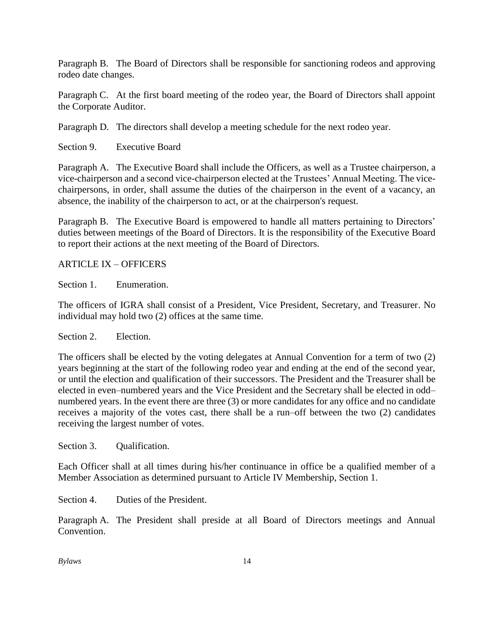Paragraph B. The Board of Directors shall be responsible for sanctioning rodeos and approving rodeo date changes.

Paragraph C. At the first board meeting of the rodeo year, the Board of Directors shall appoint the Corporate Auditor.

Paragraph D. The directors shall develop a meeting schedule for the next rodeo year.

Section 9. Executive Board

Paragraph A. The Executive Board shall include the Officers, as well as a Trustee chairperson, a vice-chairperson and a second vice-chairperson elected at the Trustees' Annual Meeting. The vicechairpersons, in order, shall assume the duties of the chairperson in the event of a vacancy, an absence, the inability of the chairperson to act, or at the chairperson's request.

Paragraph B. The Executive Board is empowered to handle all matters pertaining to Directors' duties between meetings of the Board of Directors. It is the responsibility of the Executive Board to report their actions at the next meeting of the Board of Directors.

#### ARTICLE IX – OFFICERS

Section 1. Enumeration.

The officers of IGRA shall consist of a President, Vice President, Secretary, and Treasurer. No individual may hold two (2) offices at the same time.

Section 2. Election.

The officers shall be elected by the voting delegates at Annual Convention for a term of two (2) years beginning at the start of the following rodeo year and ending at the end of the second year, or until the election and qualification of their successors. The President and the Treasurer shall be elected in even–numbered years and the Vice President and the Secretary shall be elected in odd– numbered years. In the event there are three (3) or more candidates for any office and no candidate receives a majority of the votes cast, there shall be a run–off between the two (2) candidates receiving the largest number of votes.

Section 3. Qualification.

Each Officer shall at all times during his/her continuance in office be a qualified member of a Member Association as determined pursuant to Article IV Membership, Section 1.

Section 4. Duties of the President.

Paragraph A. The President shall preside at all Board of Directors meetings and Annual Convention.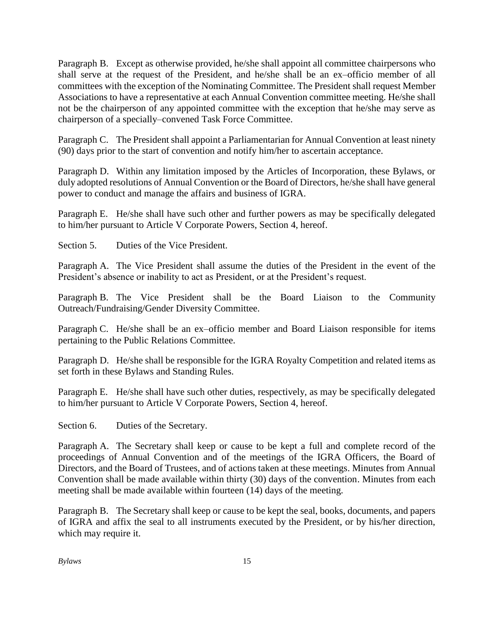Paragraph B. Except as otherwise provided, he/she shall appoint all committee chairpersons who shall serve at the request of the President, and he/she shall be an ex–officio member of all committees with the exception of the Nominating Committee. The President shall request Member Associations to have a representative at each Annual Convention committee meeting. He/she shall not be the chairperson of any appointed committee with the exception that he/she may serve as chairperson of a specially–convened Task Force Committee.

Paragraph C. The President shall appoint a Parliamentarian for Annual Convention at least ninety (90) days prior to the start of convention and notify him/her to ascertain acceptance.

Paragraph D. Within any limitation imposed by the Articles of Incorporation, these Bylaws, or duly adopted resolutions of Annual Convention or the Board of Directors, he/she shall have general power to conduct and manage the affairs and business of IGRA.

Paragraph E. He/she shall have such other and further powers as may be specifically delegated to him/her pursuant to Article V Corporate Powers, Section 4, hereof.

Section 5. Duties of the Vice President.

Paragraph A. The Vice President shall assume the duties of the President in the event of the President's absence or inability to act as President, or at the President's request.

Paragraph B. The Vice President shall be the Board Liaison to the Community Outreach/Fundraising/Gender Diversity Committee.

Paragraph C. He/she shall be an ex–officio member and Board Liaison responsible for items pertaining to the Public Relations Committee.

Paragraph D. He/she shall be responsible for the IGRA Royalty Competition and related items as set forth in these Bylaws and Standing Rules.

Paragraph E. He/she shall have such other duties, respectively, as may be specifically delegated to him/her pursuant to Article V Corporate Powers, Section 4, hereof.

Section 6. Duties of the Secretary.

Paragraph A. The Secretary shall keep or cause to be kept a full and complete record of the proceedings of Annual Convention and of the meetings of the IGRA Officers, the Board of Directors, and the Board of Trustees, and of actions taken at these meetings. Minutes from Annual Convention shall be made available within thirty (30) days of the convention. Minutes from each meeting shall be made available within fourteen (14) days of the meeting.

Paragraph B. The Secretary shall keep or cause to be kept the seal, books, documents, and papers of IGRA and affix the seal to all instruments executed by the President, or by his/her direction, which may require it.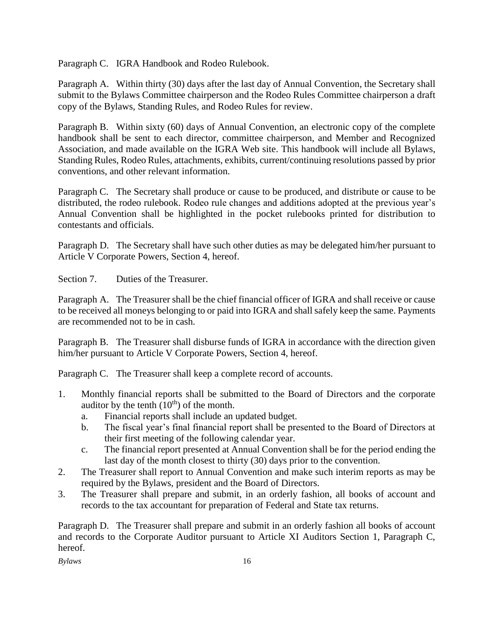Paragraph C. IGRA Handbook and Rodeo Rulebook.

Paragraph A. Within thirty (30) days after the last day of Annual Convention, the Secretary shall submit to the Bylaws Committee chairperson and the Rodeo Rules Committee chairperson a draft copy of the Bylaws, Standing Rules, and Rodeo Rules for review.

Paragraph B. Within sixty (60) days of Annual Convention, an electronic copy of the complete handbook shall be sent to each director, committee chairperson, and Member and Recognized Association, and made available on the IGRA Web site. This handbook will include all Bylaws, Standing Rules, Rodeo Rules, attachments, exhibits, current/continuing resolutions passed by prior conventions, and other relevant information.

Paragraph C. The Secretary shall produce or cause to be produced, and distribute or cause to be distributed, the rodeo rulebook. Rodeo rule changes and additions adopted at the previous year's Annual Convention shall be highlighted in the pocket rulebooks printed for distribution to contestants and officials.

Paragraph D. The Secretary shall have such other duties as may be delegated him/her pursuant to Article V Corporate Powers, Section 4, hereof.

Section 7. Duties of the Treasurer.

Paragraph A. The Treasurer shall be the chief financial officer of IGRA and shall receive or cause to be received all moneys belonging to or paid into IGRA and shall safely keep the same. Payments are recommended not to be in cash.

Paragraph B. The Treasurer shall disburse funds of IGRA in accordance with the direction given him/her pursuant to Article V Corporate Powers, Section 4, hereof.

Paragraph C. The Treasurer shall keep a complete record of accounts.

- 1. Monthly financial reports shall be submitted to the Board of Directors and the corporate auditor by the tenth  $(10<sup>th</sup>)$  of the month.
	- a. Financial reports shall include an updated budget.
	- b. The fiscal year's final financial report shall be presented to the Board of Directors at their first meeting of the following calendar year.
	- c. The financial report presented at Annual Convention shall be for the period ending the last day of the month closest to thirty (30) days prior to the convention.
- 2. The Treasurer shall report to Annual Convention and make such interim reports as may be required by the Bylaws, president and the Board of Directors.
- 3. The Treasurer shall prepare and submit, in an orderly fashion, all books of account and records to the tax accountant for preparation of Federal and State tax returns.

Paragraph D. The Treasurer shall prepare and submit in an orderly fashion all books of account and records to the Corporate Auditor pursuant to Article XI Auditors Section 1, Paragraph C, hereof.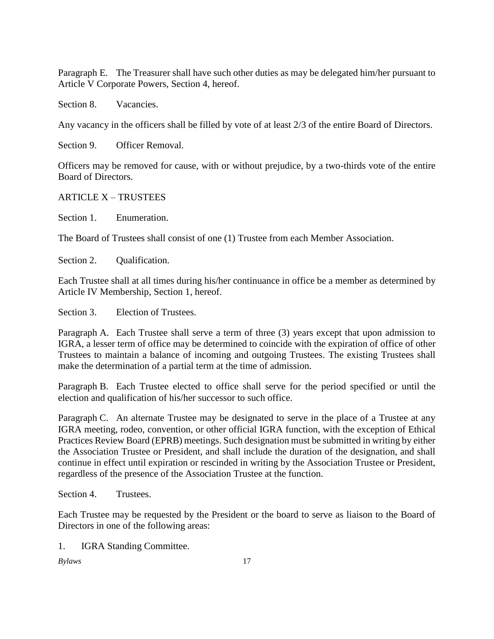Paragraph E. The Treasurer shall have such other duties as may be delegated him/her pursuant to Article V Corporate Powers, Section 4, hereof.

Section 8. Vacancies.

Any vacancy in the officers shall be filled by vote of at least 2/3 of the entire Board of Directors.

Section 9. Officer Removal.

Officers may be removed for cause, with or without prejudice, by a two-thirds vote of the entire Board of Directors.

#### ARTICLE X – TRUSTEES

Section 1. Enumeration.

The Board of Trustees shall consist of one (1) Trustee from each Member Association.

Section 2. Oualification.

Each Trustee shall at all times during his/her continuance in office be a member as determined by Article IV Membership, Section 1, hereof.

Section 3. Election of Trustees.

Paragraph A. Each Trustee shall serve a term of three (3) years except that upon admission to IGRA, a lesser term of office may be determined to coincide with the expiration of office of other Trustees to maintain a balance of incoming and outgoing Trustees. The existing Trustees shall make the determination of a partial term at the time of admission.

Paragraph B. Each Trustee elected to office shall serve for the period specified or until the election and qualification of his/her successor to such office.

Paragraph C. An alternate Trustee may be designated to serve in the place of a Trustee at any IGRA meeting, rodeo, convention, or other official IGRA function, with the exception of Ethical Practices Review Board (EPRB) meetings. Such designation must be submitted in writing by either the Association Trustee or President, and shall include the duration of the designation, and shall continue in effect until expiration or rescinded in writing by the Association Trustee or President, regardless of the presence of the Association Trustee at the function.

Section 4. Trustees.

Each Trustee may be requested by the President or the board to serve as liaison to the Board of Directors in one of the following areas:

1. IGRA Standing Committee.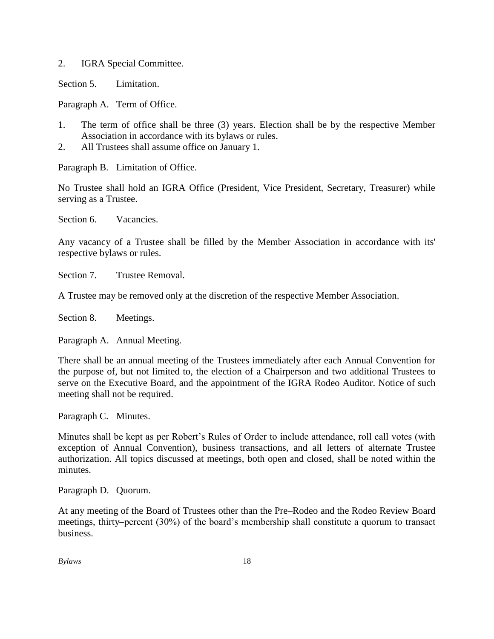2. IGRA Special Committee.

Section 5. Limitation.

Paragraph A. Term of Office.

- 1. The term of office shall be three (3) years. Election shall be by the respective Member Association in accordance with its bylaws or rules.
- 2. All Trustees shall assume office on January 1.

Paragraph B. Limitation of Office.

No Trustee shall hold an IGRA Office (President, Vice President, Secretary, Treasurer) while serving as a Trustee.

Section 6. Vacancies.

Any vacancy of a Trustee shall be filled by the Member Association in accordance with its' respective bylaws or rules.

Section 7. Trustee Removal.

A Trustee may be removed only at the discretion of the respective Member Association.

Section 8. Meetings.

Paragraph A. Annual Meeting.

There shall be an annual meeting of the Trustees immediately after each Annual Convention for the purpose of, but not limited to, the election of a Chairperson and two additional Trustees to serve on the Executive Board, and the appointment of the IGRA Rodeo Auditor. Notice of such meeting shall not be required.

Paragraph C. Minutes.

Minutes shall be kept as per Robert's Rules of Order to include attendance, roll call votes (with exception of Annual Convention), business transactions, and all letters of alternate Trustee authorization. All topics discussed at meetings, both open and closed, shall be noted within the minutes.

Paragraph D. Quorum.

At any meeting of the Board of Trustees other than the Pre–Rodeo and the Rodeo Review Board meetings, thirty–percent (30%) of the board's membership shall constitute a quorum to transact business.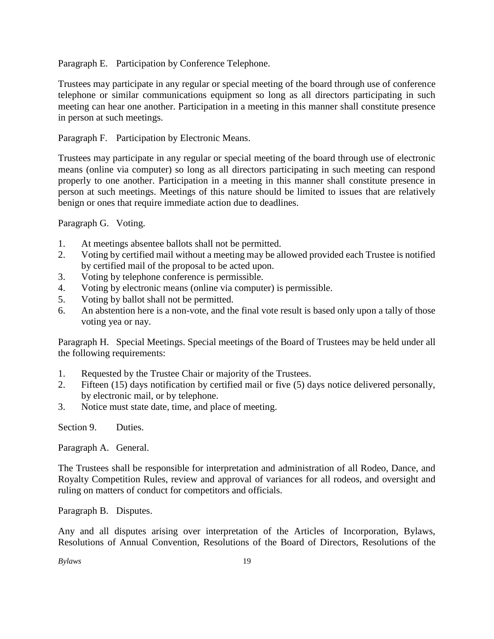Paragraph E. Participation by Conference Telephone.

Trustees may participate in any regular or special meeting of the board through use of conference telephone or similar communications equipment so long as all directors participating in such meeting can hear one another. Participation in a meeting in this manner shall constitute presence in person at such meetings.

Paragraph F. Participation by Electronic Means.

Trustees may participate in any regular or special meeting of the board through use of electronic means (online via computer) so long as all directors participating in such meeting can respond properly to one another. Participation in a meeting in this manner shall constitute presence in person at such meetings. Meetings of this nature should be limited to issues that are relatively benign or ones that require immediate action due to deadlines.

Paragraph G. Voting.

- 1. At meetings absentee ballots shall not be permitted.
- 2. Voting by certified mail without a meeting may be allowed provided each Trustee is notified by certified mail of the proposal to be acted upon.
- 3. Voting by telephone conference is permissible.
- 4. Voting by electronic means (online via computer) is permissible.
- 5. Voting by ballot shall not be permitted.
- 6. An abstention here is a non-vote, and the final vote result is based only upon a tally of those voting yea or nay.

Paragraph H. Special Meetings. Special meetings of the Board of Trustees may be held under all the following requirements:

- 1. Requested by the Trustee Chair or majority of the Trustees.
- 2. Fifteen (15) days notification by certified mail or five (5) days notice delivered personally, by electronic mail, or by telephone.
- 3. Notice must state date, time, and place of meeting.

Section 9. Duties.

Paragraph A. General.

The Trustees shall be responsible for interpretation and administration of all Rodeo, Dance, and Royalty Competition Rules, review and approval of variances for all rodeos, and oversight and ruling on matters of conduct for competitors and officials.

Paragraph B. Disputes.

Any and all disputes arising over interpretation of the Articles of Incorporation, Bylaws, Resolutions of Annual Convention, Resolutions of the Board of Directors, Resolutions of the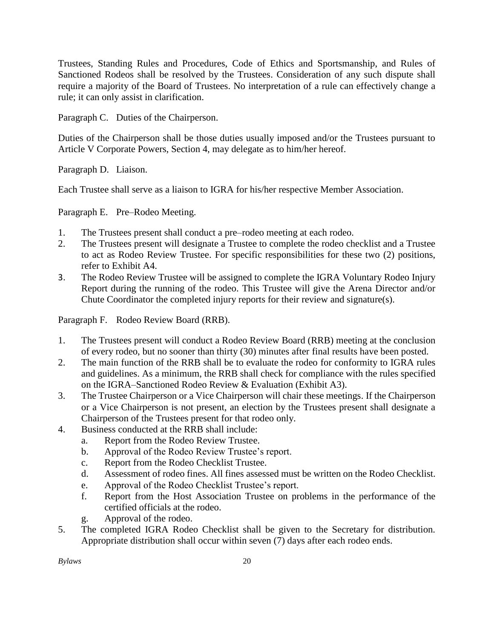Trustees, Standing Rules and Procedures, Code of Ethics and Sportsmanship, and Rules of Sanctioned Rodeos shall be resolved by the Trustees. Consideration of any such dispute shall require a majority of the Board of Trustees. No interpretation of a rule can effectively change a rule; it can only assist in clarification.

Paragraph C. Duties of the Chairperson.

Duties of the Chairperson shall be those duties usually imposed and/or the Trustees pursuant to Article V Corporate Powers, Section 4, may delegate as to him/her hereof.

Paragraph D. Liaison.

Each Trustee shall serve as a liaison to IGRA for his/her respective Member Association.

Paragraph E. Pre–Rodeo Meeting.

- 1. The Trustees present shall conduct a pre–rodeo meeting at each rodeo.
- 2. The Trustees present will designate a Trustee to complete the rodeo checklist and a Trustee to act as Rodeo Review Trustee. For specific responsibilities for these two (2) positions, refer to Exhibit A4.
- 3. The Rodeo Review Trustee will be assigned to complete the IGRA Voluntary Rodeo Injury Report during the running of the rodeo. This Trustee will give the Arena Director and/or Chute Coordinator the completed injury reports for their review and signature(s).

Paragraph F. Rodeo Review Board (RRB).

- 1. The Trustees present will conduct a Rodeo Review Board (RRB) meeting at the conclusion of every rodeo, but no sooner than thirty (30) minutes after final results have been posted.
- 2. The main function of the RRB shall be to evaluate the rodeo for conformity to IGRA rules and guidelines. As a minimum, the RRB shall check for compliance with the rules specified on the IGRA–Sanctioned Rodeo Review & Evaluation (Exhibit A3).
- 3. The Trustee Chairperson or a Vice Chairperson will chair these meetings. If the Chairperson or a Vice Chairperson is not present, an election by the Trustees present shall designate a Chairperson of the Trustees present for that rodeo only.
- 4. Business conducted at the RRB shall include:
	- a. Report from the Rodeo Review Trustee.
	- b. Approval of the Rodeo Review Trustee's report.
	- c. Report from the Rodeo Checklist Trustee.
	- d. Assessment of rodeo fines. All fines assessed must be written on the Rodeo Checklist.
	- e. Approval of the Rodeo Checklist Trustee's report.
	- f. Report from the Host Association Trustee on problems in the performance of the certified officials at the rodeo.
	- Approval of the rodeo.
- 5. The completed IGRA Rodeo Checklist shall be given to the Secretary for distribution. Appropriate distribution shall occur within seven (7) days after each rodeo ends.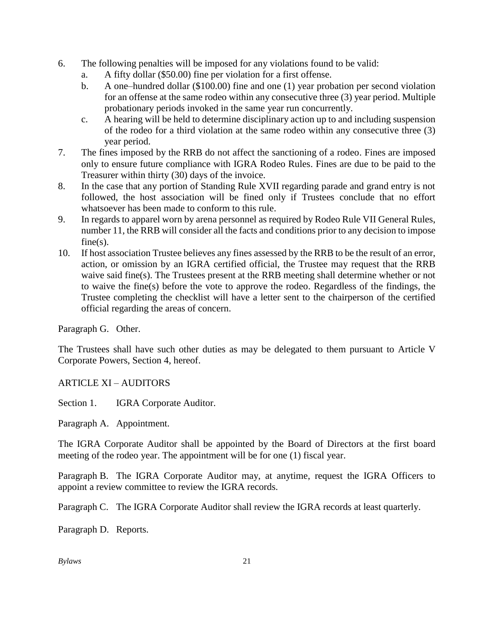- 6. The following penalties will be imposed for any violations found to be valid:
	- a. A fifty dollar (\$50.00) fine per violation for a first offense.
	- b. A one–hundred dollar (\$100.00) fine and one (1) year probation per second violation for an offense at the same rodeo within any consecutive three (3) year period. Multiple probationary periods invoked in the same year run concurrently.
	- c. A hearing will be held to determine disciplinary action up to and including suspension of the rodeo for a third violation at the same rodeo within any consecutive three (3) year period.
- 7. The fines imposed by the RRB do not affect the sanctioning of a rodeo. Fines are imposed only to ensure future compliance with IGRA Rodeo Rules. Fines are due to be paid to the Treasurer within thirty (30) days of the invoice.
- 8. In the case that any portion of Standing Rule XVII regarding parade and grand entry is not followed, the host association will be fined only if Trustees conclude that no effort whatsoever has been made to conform to this rule.
- 9. In regards to apparel worn by arena personnel as required by Rodeo Rule VII General Rules, number 11, the RRB will consider all the facts and conditions prior to any decision to impose  $fine(s)$ .
- 10. If host association Trustee believes any fines assessed by the RRB to be the result of an error, action, or omission by an IGRA certified official, the Trustee may request that the RRB waive said fine(s). The Trustees present at the RRB meeting shall determine whether or not to waive the fine(s) before the vote to approve the rodeo. Regardless of the findings, the Trustee completing the checklist will have a letter sent to the chairperson of the certified official regarding the areas of concern.

Paragraph G. Other.

The Trustees shall have such other duties as may be delegated to them pursuant to Article V Corporate Powers, Section 4, hereof.

ARTICLE XI – AUDITORS

Section 1. **IGRA Corporate Auditor.** 

Paragraph A. Appointment.

The IGRA Corporate Auditor shall be appointed by the Board of Directors at the first board meeting of the rodeo year. The appointment will be for one (1) fiscal year.

Paragraph B. The IGRA Corporate Auditor may, at anytime, request the IGRA Officers to appoint a review committee to review the IGRA records.

Paragraph C. The IGRA Corporate Auditor shall review the IGRA records at least quarterly.

Paragraph D. Reports.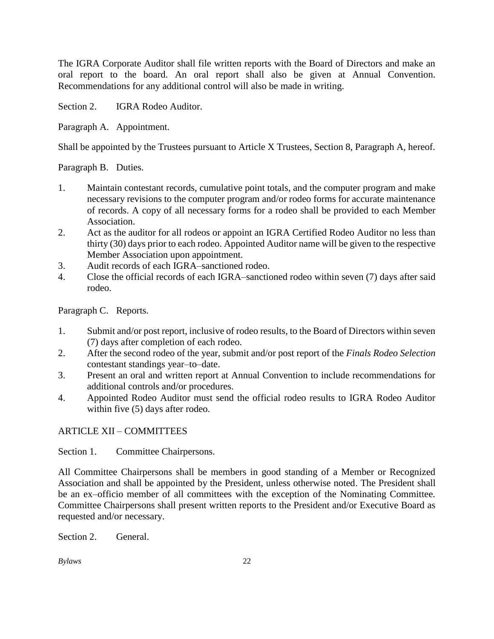The IGRA Corporate Auditor shall file written reports with the Board of Directors and make an oral report to the board. An oral report shall also be given at Annual Convention. Recommendations for any additional control will also be made in writing.

Section 2. **IGRA Rodeo Auditor.** 

Paragraph A. Appointment.

Shall be appointed by the Trustees pursuant to Article X Trustees, Section 8, Paragraph A, hereof.

Paragraph B. Duties.

- 1. Maintain contestant records, cumulative point totals, and the computer program and make necessary revisions to the computer program and/or rodeo forms for accurate maintenance of records. A copy of all necessary forms for a rodeo shall be provided to each Member Association.
- 2. Act as the auditor for all rodeos or appoint an IGRA Certified Rodeo Auditor no less than thirty (30) days prior to each rodeo. Appointed Auditor name will be given to the respective Member Association upon appointment.
- 3. Audit records of each IGRA–sanctioned rodeo.
- 4. Close the official records of each IGRA–sanctioned rodeo within seven (7) days after said rodeo.

Paragraph C. Reports.

- 1. Submit and/or post report, inclusive of rodeo results, to the Board of Directors within seven (7) days after completion of each rodeo.
- 2. After the second rodeo of the year, submit and/or post report of the *Finals Rodeo Selection* contestant standings year–to–date.
- 3. Present an oral and written report at Annual Convention to include recommendations for additional controls and/or procedures.
- 4. Appointed Rodeo Auditor must send the official rodeo results to IGRA Rodeo Auditor within five (5) days after rodeo.

## ARTICLE XII – COMMITTEES

Section 1. Committee Chairpersons.

All Committee Chairpersons shall be members in good standing of a Member or Recognized Association and shall be appointed by the President, unless otherwise noted. The President shall be an ex–officio member of all committees with the exception of the Nominating Committee. Committee Chairpersons shall present written reports to the President and/or Executive Board as requested and/or necessary.

Section 2. General.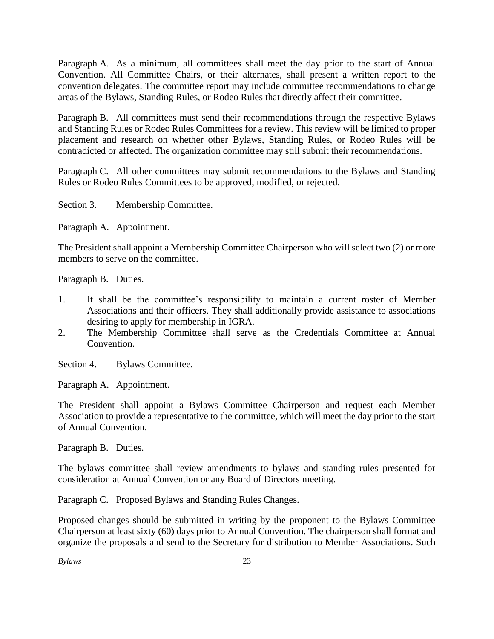Paragraph A. As a minimum, all committees shall meet the day prior to the start of Annual Convention. All Committee Chairs, or their alternates, shall present a written report to the convention delegates. The committee report may include committee recommendations to change areas of the Bylaws, Standing Rules, or Rodeo Rules that directly affect their committee.

Paragraph B. All committees must send their recommendations through the respective Bylaws and Standing Rules or Rodeo Rules Committees for a review. This review will be limited to proper placement and research on whether other Bylaws, Standing Rules, or Rodeo Rules will be contradicted or affected. The organization committee may still submit their recommendations.

Paragraph C. All other committees may submit recommendations to the Bylaws and Standing Rules or Rodeo Rules Committees to be approved, modified, or rejected.

Section 3. Membership Committee.

Paragraph A. Appointment.

The President shall appoint a Membership Committee Chairperson who will select two (2) or more members to serve on the committee.

Paragraph B. Duties.

- 1. It shall be the committee's responsibility to maintain a current roster of Member Associations and their officers. They shall additionally provide assistance to associations desiring to apply for membership in IGRA.
- 2. The Membership Committee shall serve as the Credentials Committee at Annual Convention.

Section 4. Bylaws Committee.

Paragraph A. Appointment.

The President shall appoint a Bylaws Committee Chairperson and request each Member Association to provide a representative to the committee, which will meet the day prior to the start of Annual Convention.

Paragraph B. Duties.

The bylaws committee shall review amendments to bylaws and standing rules presented for consideration at Annual Convention or any Board of Directors meeting.

Paragraph C. Proposed Bylaws and Standing Rules Changes.

Proposed changes should be submitted in writing by the proponent to the Bylaws Committee Chairperson at least sixty (60) days prior to Annual Convention. The chairperson shall format and organize the proposals and send to the Secretary for distribution to Member Associations. Such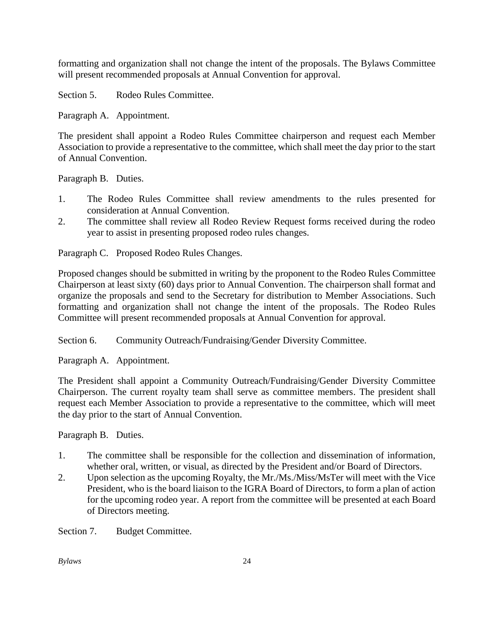formatting and organization shall not change the intent of the proposals. The Bylaws Committee will present recommended proposals at Annual Convention for approval.

Section 5. Rodeo Rules Committee.

Paragraph A. Appointment.

The president shall appoint a Rodeo Rules Committee chairperson and request each Member Association to provide a representative to the committee, which shall meet the day prior to the start of Annual Convention.

Paragraph B. Duties.

- 1. The Rodeo Rules Committee shall review amendments to the rules presented for consideration at Annual Convention.
- 2. The committee shall review all Rodeo Review Request forms received during the rodeo year to assist in presenting proposed rodeo rules changes.

Paragraph C. Proposed Rodeo Rules Changes.

Proposed changes should be submitted in writing by the proponent to the Rodeo Rules Committee Chairperson at least sixty (60) days prior to Annual Convention. The chairperson shall format and organize the proposals and send to the Secretary for distribution to Member Associations. Such formatting and organization shall not change the intent of the proposals. The Rodeo Rules Committee will present recommended proposals at Annual Convention for approval.

Section 6. Community Outreach/Fundraising/Gender Diversity Committee.

Paragraph A. Appointment.

The President shall appoint a Community Outreach/Fundraising/Gender Diversity Committee Chairperson. The current royalty team shall serve as committee members. The president shall request each Member Association to provide a representative to the committee, which will meet the day prior to the start of Annual Convention.

Paragraph B. Duties.

- 1. The committee shall be responsible for the collection and dissemination of information, whether oral, written, or visual, as directed by the President and/or Board of Directors.
- 2. Upon selection as the upcoming Royalty, the Mr./Ms./Miss/MsTer will meet with the Vice President, who is the board liaison to the IGRA Board of Directors, to form a plan of action for the upcoming rodeo year. A report from the committee will be presented at each Board of Directors meeting.

Section 7. Budget Committee.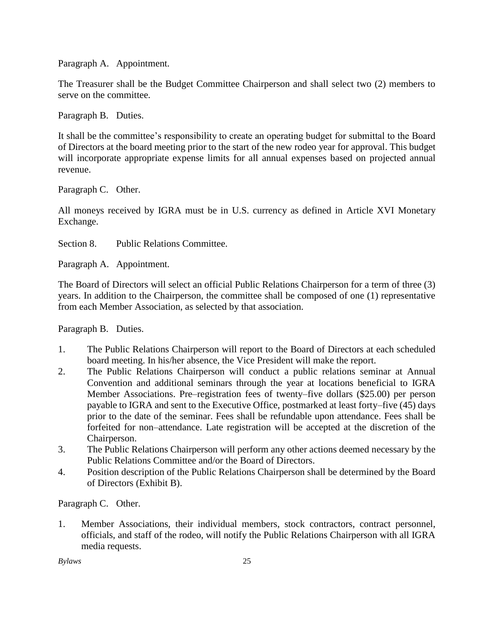Paragraph A. Appointment.

The Treasurer shall be the Budget Committee Chairperson and shall select two (2) members to serve on the committee.

Paragraph B. Duties.

It shall be the committee's responsibility to create an operating budget for submittal to the Board of Directors at the board meeting prior to the start of the new rodeo year for approval. This budget will incorporate appropriate expense limits for all annual expenses based on projected annual revenue.

Paragraph C. Other.

All moneys received by IGRA must be in U.S. currency as defined in Article XVI Monetary Exchange.

Section 8. Public Relations Committee.

Paragraph A. Appointment.

The Board of Directors will select an official Public Relations Chairperson for a term of three (3) years. In addition to the Chairperson, the committee shall be composed of one (1) representative from each Member Association, as selected by that association.

Paragraph B. Duties.

- 1. The Public Relations Chairperson will report to the Board of Directors at each scheduled board meeting. In his/her absence, the Vice President will make the report.
- 2. The Public Relations Chairperson will conduct a public relations seminar at Annual Convention and additional seminars through the year at locations beneficial to IGRA Member Associations. Pre–registration fees of twenty–five dollars (\$25.00) per person payable to IGRA and sent to the Executive Office, postmarked at least forty–five (45) days prior to the date of the seminar. Fees shall be refundable upon attendance. Fees shall be forfeited for non–attendance. Late registration will be accepted at the discretion of the Chairperson.
- 3. The Public Relations Chairperson will perform any other actions deemed necessary by the Public Relations Committee and/or the Board of Directors.
- 4. Position description of the Public Relations Chairperson shall be determined by the Board of Directors (Exhibit B).

Paragraph C. Other.

1. Member Associations, their individual members, stock contractors, contract personnel, officials, and staff of the rodeo, will notify the Public Relations Chairperson with all IGRA media requests.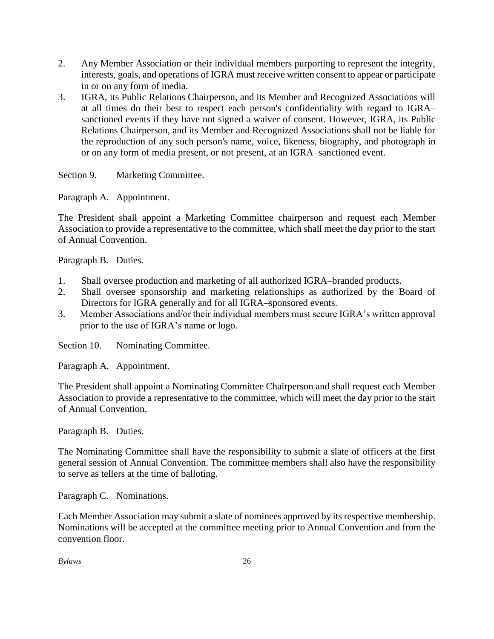- 2. Any Member Association or their individual members purporting to represent the integrity, interests, goals, and operations of IGRA must receive written consent to appear or participate in or on any form of media.
- 3. IGRA, its Public Relations Chairperson, and its Member and Recognized Associations will at all times do their best to respect each person's confidentiality with regard to IGRA– sanctioned events if they have not signed a waiver of consent. However, IGRA, its Public Relations Chairperson, and its Member and Recognized Associations shall not be liable for the reproduction of any such person's name, voice, likeness, biography, and photograph in or on any form of media present, or not present, at an IGRA–sanctioned event.

Section 9. Marketing Committee.

Paragraph A. Appointment.

The President shall appoint a Marketing Committee chairperson and request each Member Association to provide a representative to the committee, which shall meet the day prior to the start of Annual Convention.

Paragraph B. Duties.

- 1. Shall oversee production and marketing of all authorized IGRA–branded products.
- 2. Shall oversee sponsorship and marketing relationships as authorized by the Board of Directors for IGRA generally and for all IGRA–sponsored events.
- 3. Member Associations and/or their individual members must secure IGRA's written approval prior to the use of IGRA's name or logo.

Section 10. Nominating Committee.

Paragraph A. Appointment.

The President shall appoint a Nominating Committee Chairperson and shall request each Member Association to provide a representative to the committee, which will meet the day prior to the start of Annual Convention.

Paragraph B. Duties.

The Nominating Committee shall have the responsibility to submit a slate of officers at the first general session of Annual Convention. The committee members shall also have the responsibility to serve as tellers at the time of balloting.

Paragraph C. Nominations.

Each Member Association may submit a slate of nominees approved by its respective membership. Nominations will be accepted at the committee meeting prior to Annual Convention and from the convention floor.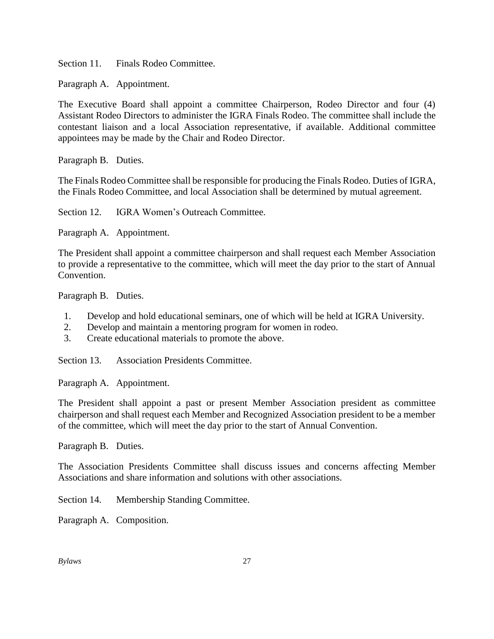Section 11. Finals Rodeo Committee.

Paragraph A. Appointment.

The Executive Board shall appoint a committee Chairperson, Rodeo Director and four (4) Assistant Rodeo Directors to administer the IGRA Finals Rodeo. The committee shall include the contestant liaison and a local Association representative, if available. Additional committee appointees may be made by the Chair and Rodeo Director.

Paragraph B. Duties.

The Finals Rodeo Committee shall be responsible for producing the Finals Rodeo. Duties of IGRA, the Finals Rodeo Committee, and local Association shall be determined by mutual agreement.

Section 12. IGRA Women's Outreach Committee.

Paragraph A. Appointment.

The President shall appoint a committee chairperson and shall request each Member Association to provide a representative to the committee, which will meet the day prior to the start of Annual Convention.

Paragraph B. Duties.

- 1. Develop and hold educational seminars, one of which will be held at IGRA University.
- 2. Develop and maintain a mentoring program for women in rodeo.
- 3. Create educational materials to promote the above.

Section 13. Association Presidents Committee.

Paragraph A. Appointment.

The President shall appoint a past or present Member Association president as committee chairperson and shall request each Member and Recognized Association president to be a member of the committee, which will meet the day prior to the start of Annual Convention.

Paragraph B. Duties.

The Association Presidents Committee shall discuss issues and concerns affecting Member Associations and share information and solutions with other associations.

Section 14. Membership Standing Committee.

Paragraph A. Composition.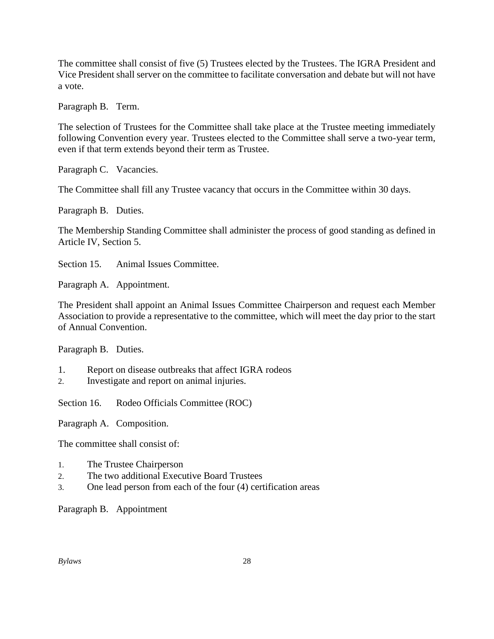The committee shall consist of five (5) Trustees elected by the Trustees. The IGRA President and Vice President shall server on the committee to facilitate conversation and debate but will not have a vote.

Paragraph B. Term.

The selection of Trustees for the Committee shall take place at the Trustee meeting immediately following Convention every year. Trustees elected to the Committee shall serve a two-year term, even if that term extends beyond their term as Trustee.

Paragraph C. Vacancies.

The Committee shall fill any Trustee vacancy that occurs in the Committee within 30 days.

Paragraph B. Duties.

The Membership Standing Committee shall administer the process of good standing as defined in Article IV, Section 5.

Section 15. Animal Issues Committee.

Paragraph A. Appointment.

The President shall appoint an Animal Issues Committee Chairperson and request each Member Association to provide a representative to the committee, which will meet the day prior to the start of Annual Convention.

Paragraph B. Duties.

- 1. Report on disease outbreaks that affect IGRA rodeos
- 2. Investigate and report on animal injuries.

Section 16. Rodeo Officials Committee (ROC)

Paragraph A. Composition.

The committee shall consist of:

- 1. The Trustee Chairperson
- 2. The two additional Executive Board Trustees
- 3. One lead person from each of the four (4) certification areas

Paragraph B. Appointment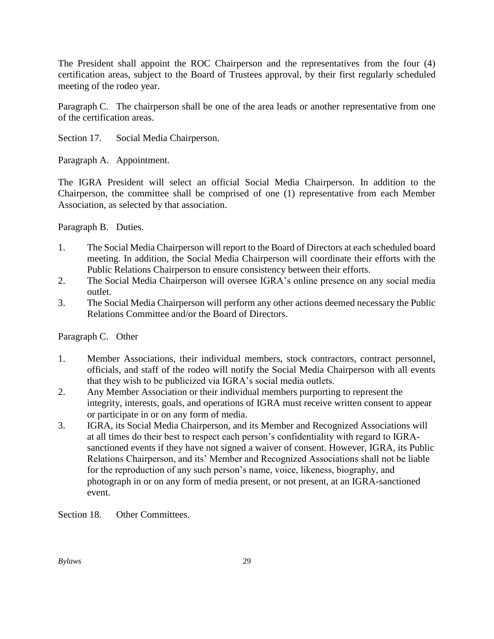The President shall appoint the ROC Chairperson and the representatives from the four (4) certification areas, subject to the Board of Trustees approval, by their first regularly scheduled meeting of the rodeo year.

Paragraph C. The chairperson shall be one of the area leads or another representative from one of the certification areas.

Section 17. Social Media Chairperson.

Paragraph A. Appointment.

The IGRA President will select an official Social Media Chairperson. In addition to the Chairperson, the committee shall be comprised of one (1) representative from each Member Association, as selected by that association.

Paragraph B. Duties.

- 1. The Social Media Chairperson will report to the Board of Directors at each scheduled board meeting. In addition, the Social Media Chairperson will coordinate their efforts with the Public Relations Chairperson to ensure consistency between their efforts.
- 2. The Social Media Chairperson will oversee IGRA's online presence on any social media outlet.
- 3. The Social Media Chairperson will perform any other actions deemed necessary the Public Relations Committee and/or the Board of Directors.

Paragraph C. Other

- 1. Member Associations, their individual members, stock contractors, contract personnel, officials, and staff of the rodeo will notify the Social Media Chairperson with all events that they wish to be publicized via IGRA's social media outlets.
- 2. Any Member Association or their individual members purporting to represent the integrity, interests, goals, and operations of IGRA must receive written consent to appear or participate in or on any form of media.
- 3. IGRA, its Social Media Chairperson, and its Member and Recognized Associations will at all times do their best to respect each person's confidentiality with regard to IGRAsanctioned events if they have not signed a waiver of consent. However, IGRA, its Public Relations Chairperson, and its' Member and Recognized Associations shall not be liable for the reproduction of any such person's name, voice, likeness, biography, and photograph in or on any form of media present, or not present, at an IGRA-sanctioned event.

Section 18. Other Committees.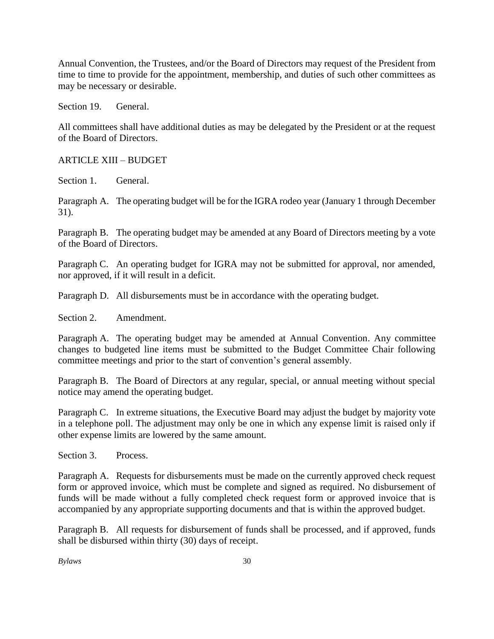Annual Convention, the Trustees, and/or the Board of Directors may request of the President from time to time to provide for the appointment, membership, and duties of such other committees as may be necessary or desirable.

Section 19. General.

All committees shall have additional duties as may be delegated by the President or at the request of the Board of Directors.

#### ARTICLE XIII – BUDGET

Section 1. General.

Paragraph A. The operating budget will be for the IGRA rodeo year (January 1 through December 31).

Paragraph B. The operating budget may be amended at any Board of Directors meeting by a vote of the Board of Directors.

Paragraph C. An operating budget for IGRA may not be submitted for approval, nor amended, nor approved, if it will result in a deficit.

Paragraph D. All disbursements must be in accordance with the operating budget.

Section 2. Amendment.

Paragraph A. The operating budget may be amended at Annual Convention. Any committee changes to budgeted line items must be submitted to the Budget Committee Chair following committee meetings and prior to the start of convention's general assembly.

Paragraph B. The Board of Directors at any regular, special, or annual meeting without special notice may amend the operating budget.

Paragraph C. In extreme situations, the Executive Board may adjust the budget by majority vote in a telephone poll. The adjustment may only be one in which any expense limit is raised only if other expense limits are lowered by the same amount.

Section 3. Process.

Paragraph A. Requests for disbursements must be made on the currently approved check request form or approved invoice, which must be complete and signed as required. No disbursement of funds will be made without a fully completed check request form or approved invoice that is accompanied by any appropriate supporting documents and that is within the approved budget.

Paragraph B. All requests for disbursement of funds shall be processed, and if approved, funds shall be disbursed within thirty (30) days of receipt.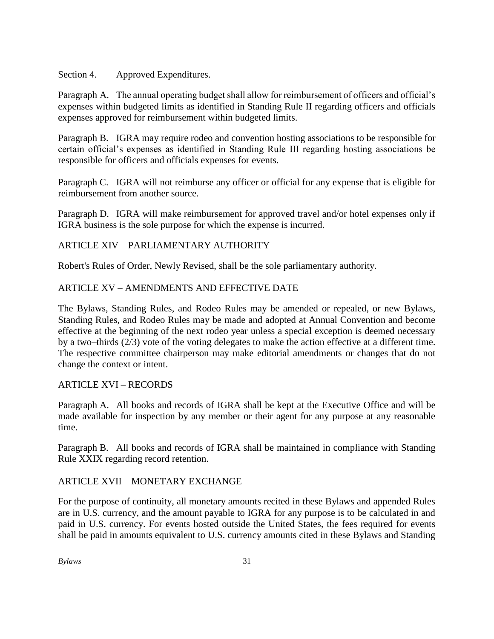#### Section 4. Approved Expenditures.

Paragraph A. The annual operating budget shall allow for reimbursement of officers and official's expenses within budgeted limits as identified in Standing Rule II regarding officers and officials expenses approved for reimbursement within budgeted limits.

Paragraph B. IGRA may require rodeo and convention hosting associations to be responsible for certain official's expenses as identified in Standing Rule III regarding hosting associations be responsible for officers and officials expenses for events.

Paragraph C. IGRA will not reimburse any officer or official for any expense that is eligible for reimbursement from another source.

Paragraph D. IGRA will make reimbursement for approved travel and/or hotel expenses only if IGRA business is the sole purpose for which the expense is incurred.

## ARTICLE XIV – PARLIAMENTARY AUTHORITY

Robert's Rules of Order, Newly Revised, shall be the sole parliamentary authority.

#### ARTICLE XV – AMENDMENTS AND EFFECTIVE DATE

The Bylaws, Standing Rules, and Rodeo Rules may be amended or repealed, or new Bylaws, Standing Rules, and Rodeo Rules may be made and adopted at Annual Convention and become effective at the beginning of the next rodeo year unless a special exception is deemed necessary by a two–thirds (2/3) vote of the voting delegates to make the action effective at a different time. The respective committee chairperson may make editorial amendments or changes that do not change the context or intent.

#### ARTICLE XVI – RECORDS

Paragraph A. All books and records of IGRA shall be kept at the Executive Office and will be made available for inspection by any member or their agent for any purpose at any reasonable time.

Paragraph B. All books and records of IGRA shall be maintained in compliance with Standing Rule XXIX regarding record retention.

#### ARTICLE XVII – MONETARY EXCHANGE

For the purpose of continuity, all monetary amounts recited in these Bylaws and appended Rules are in U.S. currency, and the amount payable to IGRA for any purpose is to be calculated in and paid in U.S. currency. For events hosted outside the United States, the fees required for events shall be paid in amounts equivalent to U.S. currency amounts cited in these Bylaws and Standing